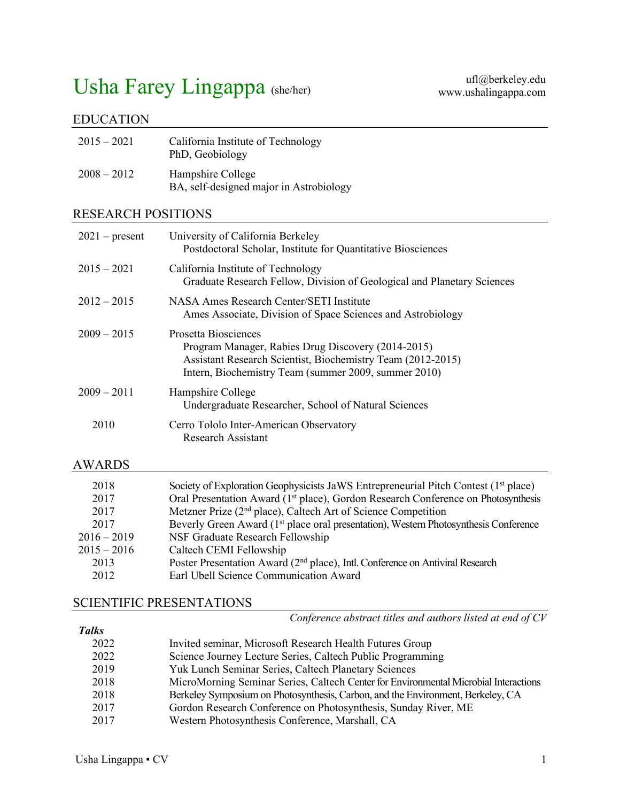# Usha Farey Lingappa (she/her)

## EDUCATION

| $2015 - 2021$ | California Institute of Technology<br>PhD, Geobiology        |
|---------------|--------------------------------------------------------------|
| $2008 - 2012$ | Hampshire College<br>BA, self-designed major in Astrobiology |

# RESEARCH POSITIONS

| $2021$ – present | University of California Berkeley<br>Postdoctoral Scholar, Institute for Quantitative Biosciences                                                                                                 |
|------------------|---------------------------------------------------------------------------------------------------------------------------------------------------------------------------------------------------|
| $2015 - 2021$    | California Institute of Technology<br>Graduate Research Fellow, Division of Geological and Planetary Sciences                                                                                     |
| $2012 - 2015$    | NASA Ames Research Center/SETI Institute<br>Ames Associate, Division of Space Sciences and Astrobiology                                                                                           |
| $2009 - 2015$    | Prosetta Biosciences<br>Program Manager, Rabies Drug Discovery (2014-2015)<br>Assistant Research Scientist, Biochemistry Team (2012-2015)<br>Intern, Biochemistry Team (summer 2009, summer 2010) |
| $2009 - 2011$    | Hampshire College<br>Undergraduate Researcher, School of Natural Sciences                                                                                                                         |
| 2010             | Cerro Tololo Inter-American Observatory<br>Research Assistant                                                                                                                                     |

## AWARDS

| 2018          | Society of Exploration Geophysicists JaWS Entrepreneurial Pitch Contest (1 <sup>st</sup> place)  |
|---------------|--------------------------------------------------------------------------------------------------|
| 2017          | Oral Presentation Award (1 <sup>st</sup> place), Gordon Research Conference on Photosynthesis    |
| 2017          | Metzner Prize (2 <sup>nd</sup> place), Caltech Art of Science Competition                        |
| 2017          | Beverly Green Award (1 <sup>st</sup> place oral presentation), Western Photosynthesis Conference |
| $2016 - 2019$ | NSF Graduate Research Fellowship                                                                 |
| $2015 - 2016$ | Caltech CEMI Fellowship                                                                          |
| 2013          | Poster Presentation Award (2 <sup>nd</sup> place), Intl. Conference on Antiviral Research        |
| 2012          | Earl Ubell Science Communication Award                                                           |
|               |                                                                                                  |

## SCIENTIFIC PRESENTATIONS

 *Conference abstract titles and authors listed at end of CV*

| 1 ulhs |                                                                                      |
|--------|--------------------------------------------------------------------------------------|
| 2022   | Invited seminar, Microsoft Research Health Futures Group                             |
| 2022   | Science Journey Lecture Series, Caltech Public Programming                           |
| 2019   | Yuk Lunch Seminar Series, Caltech Planetary Sciences                                 |
| 2018   | MicroMorning Seminar Series, Caltech Center for Environmental Microbial Interactions |
| 2018   | Berkeley Symposium on Photosynthesis, Carbon, and the Environment, Berkeley, CA      |
| 2017   | Gordon Research Conference on Photosynthesis, Sunday River, ME                       |
| 2017   | Western Photosynthesis Conference, Marshall, CA                                      |
|        |                                                                                      |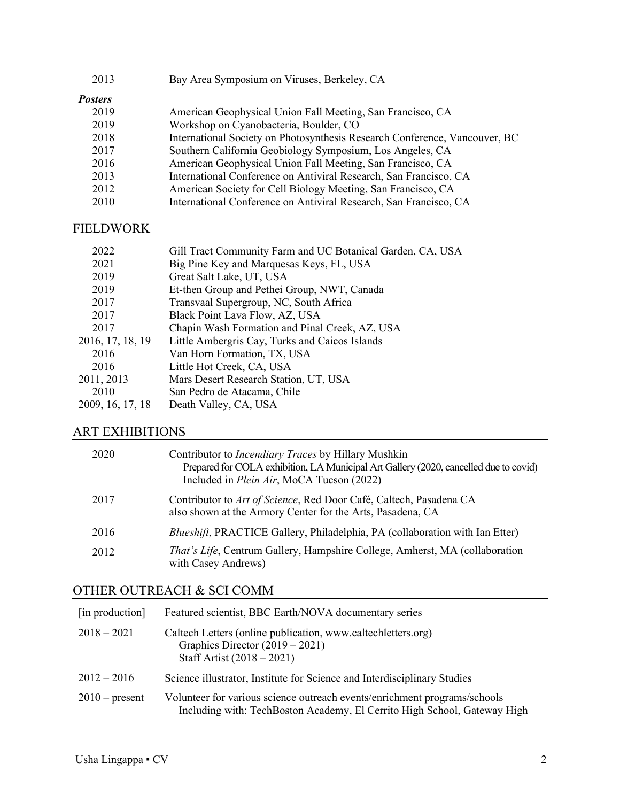| 2013           | Bay Area Symposium on Viruses, Berkeley, CA                                |
|----------------|----------------------------------------------------------------------------|
| <i>Posters</i> |                                                                            |
| 2019           | American Geophysical Union Fall Meeting, San Francisco, CA                 |
| 2019           | Workshop on Cyanobacteria, Boulder, CO                                     |
| 2018           | International Society on Photosynthesis Research Conference, Vancouver, BC |
| 2017           | Southern California Geobiology Symposium, Los Angeles, CA                  |
| 2016           | American Geophysical Union Fall Meeting, San Francisco, CA                 |
| 2013           | International Conference on Antiviral Research, San Francisco, CA          |
| 2012           | American Society for Cell Biology Meeting, San Francisco, CA               |
| 2010           | International Conference on Antiviral Research, San Francisco, CA          |

## FIELDWORK

| 2022             | Gill Tract Community Farm and UC Botanical Garden, CA, USA |
|------------------|------------------------------------------------------------|
| 2021             | Big Pine Key and Marquesas Keys, FL, USA                   |
| 2019             | Great Salt Lake, UT, USA                                   |
| 2019             | Et-then Group and Pethei Group, NWT, Canada                |
| 2017             | Transvaal Supergroup, NC, South Africa                     |
| 2017             | Black Point Lava Flow, AZ, USA                             |
| 2017             | Chapin Wash Formation and Pinal Creek, AZ, USA             |
| 2016, 17, 18, 19 | Little Ambergris Cay, Turks and Caicos Islands             |
| 2016             | Van Horn Formation, TX, USA                                |
| 2016             | Little Hot Creek, CA, USA                                  |
| 2011, 2013       | Mars Desert Research Station, UT, USA                      |
| 2010             | San Pedro de Atacama, Chile                                |
| 2009, 16, 17, 18 | Death Valley, CA, USA                                      |
|                  |                                                            |

# ART EXHIBITIONS

| 2020 | Contributor to <i>Incendiary Traces</i> by Hillary Mushkin<br>Prepared for COLA exhibition, LA Municipal Art Gallery (2020, cancelled due to covid)<br>Included in <i>Plein Air</i> , MoCA Tucson (2022) |
|------|----------------------------------------------------------------------------------------------------------------------------------------------------------------------------------------------------------|
| 2017 | Contributor to Art of Science, Red Door Café, Caltech, Pasadena CA<br>also shown at the Armory Center for the Arts, Pasadena, CA                                                                         |
| 2016 | Blueshift, PRACTICE Gallery, Philadelphia, PA (collaboration with Ian Etter)                                                                                                                             |
| 2012 | <i>That's Life</i> , Centrum Gallery, Hampshire College, Amherst, MA (collaboration)<br>with Casey Andrews)                                                                                              |

## OTHER OUTREACH & SCI COMM

| [in production]  | Featured scientist, BBC Earth/NOVA documentary series                                                                                                 |
|------------------|-------------------------------------------------------------------------------------------------------------------------------------------------------|
| $2018 - 2021$    | Caltech Letters (online publication, www.caltechletters.org)<br>Graphics Director $(2019 - 2021)$<br>Staff Artist $(2018 - 2021)$                     |
| $2012 - 2016$    | Science illustrator, Institute for Science and Interdisciplinary Studies                                                                              |
| $2010$ – present | Volunteer for various science outreach events/enrichment programs/schools<br>Including with: TechBoston Academy, El Cerrito High School, Gateway High |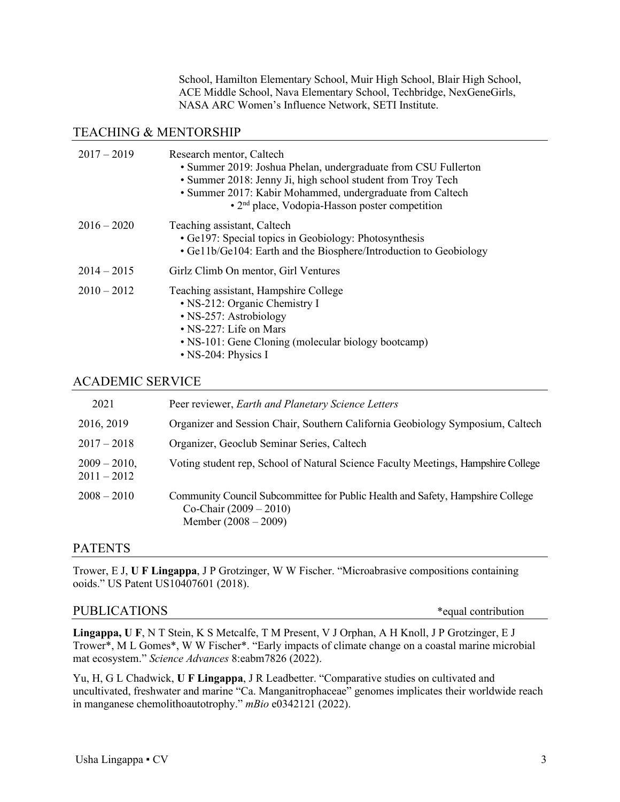School, Hamilton Elementary School, Muir High School, Blair High School, ACE Middle School, Nava Elementary School, Techbridge, NexGeneGirls, NASA ARC Women's Influence Network, SETI Institute.

#### TEACHING & MENTORSHIP

| $2017 - 2019$ | Research mentor, Caltech<br>• Summer 2019: Joshua Phelan, undergraduate from CSU Fullerton<br>• Summer 2018: Jenny Ji, high school student from Troy Tech<br>• Summer 2017: Kabir Mohammed, undergraduate from Caltech<br>• 2 <sup>nd</sup> place, Vodopia-Hasson poster competition |
|---------------|--------------------------------------------------------------------------------------------------------------------------------------------------------------------------------------------------------------------------------------------------------------------------------------|
| $2016 - 2020$ | Teaching assistant, Caltech<br>• Ge197: Special topics in Geobiology: Photosynthesis<br>• Ge11b/Ge104: Earth and the Biosphere/Introduction to Geobiology                                                                                                                            |
| $2014 - 2015$ | Girlz Climb On mentor, Girl Ventures                                                                                                                                                                                                                                                 |
| $2010 - 2012$ | Teaching assistant, Hampshire College<br>• NS-212: Organic Chemistry I<br>• NS-257: Astrobiology<br>• NS-227: Life on Mars<br>• NS-101: Gene Cloning (molecular biology bootcamp)<br>• NS-204: Physics I                                                                             |

#### ACADEMIC SERVICE

| 2021                             | Peer reviewer, Earth and Planetary Science Letters                                                                                   |
|----------------------------------|--------------------------------------------------------------------------------------------------------------------------------------|
| 2016, 2019                       | Organizer and Session Chair, Southern California Geobiology Symposium, Caltech                                                       |
| $2017 - 2018$                    | Organizer, Geoclub Seminar Series, Caltech                                                                                           |
| $2009 - 2010$ ,<br>$2011 - 2012$ | Voting student rep, School of Natural Science Faculty Meetings, Hampshire College                                                    |
| $2008 - 2010$                    | Community Council Subcommittee for Public Health and Safety, Hampshire College<br>Co-Chair $(2009 - 2010)$<br>Member $(2008 - 2009)$ |

#### PATENTS

Trower, E J, **U F Lingappa**, J P Grotzinger, W W Fischer. "Microabrasive compositions containing ooids." US Patent US10407601 (2018).

#### PUBLICATIONS \*equal contribution

**Lingappa, U F**, N T Stein, K S Metcalfe, T M Present, V J Orphan, A H Knoll, J P Grotzinger, E J Trower\*, M L Gomes\*, W W Fischer\*. "Early impacts of climate change on a coastal marine microbial mat ecosystem." *Science Advances* 8:eabm7826 (2022).

Yu, H, G L Chadwick, **U F Lingappa**, J R Leadbetter. "Comparative studies on cultivated and uncultivated, freshwater and marine "Ca. Manganitrophaceae" genomes implicates their worldwide reach in manganese chemolithoautotrophy." *mBio* e0342121 (2022).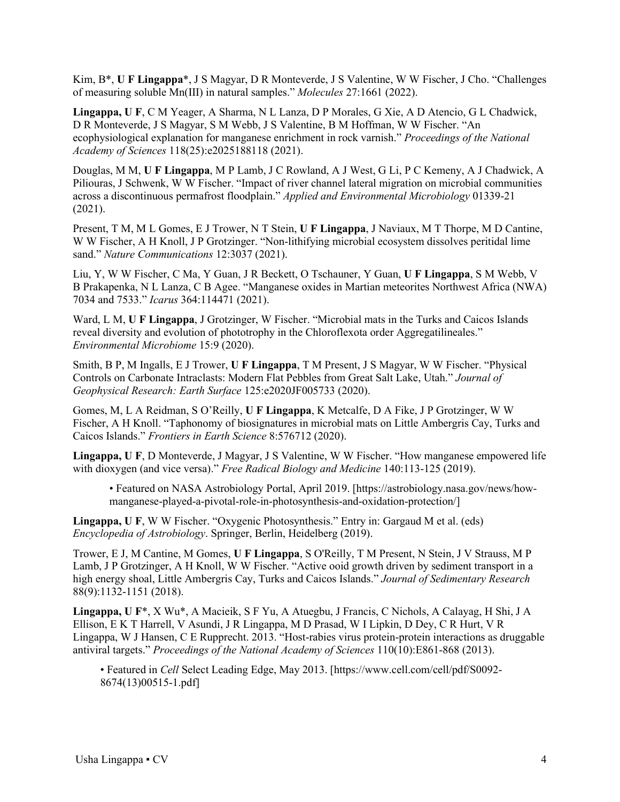Kim, B\*, **U F Lingappa**\*, J S Magyar, D R Monteverde, J S Valentine, W W Fischer, J Cho. "Challenges of measuring soluble Mn(III) in natural samples." *Molecules* 27:1661 (2022).

**Lingappa, U F**, C M Yeager, A Sharma, N L Lanza, D P Morales, G Xie, A D Atencio, G L Chadwick, D R Monteverde, J S Magyar, S M Webb, J S Valentine, B M Hoffman, W W Fischer. "An ecophysiological explanation for manganese enrichment in rock varnish." *Proceedings of the National Academy of Sciences* 118(25):e2025188118 (2021).

Douglas, M M, **U F Lingappa**, M P Lamb, J C Rowland, A J West, G Li, P C Kemeny, A J Chadwick, A Piliouras, J Schwenk, W W Fischer. "Impact of river channel lateral migration on microbial communities across a discontinuous permafrost floodplain." *Applied and Environmental Microbiology* 01339-21 (2021).

Present, T M, M L Gomes, E J Trower, N T Stein, **U F Lingappa**, J Naviaux, M T Thorpe, M D Cantine, W W Fischer, A H Knoll, J P Grotzinger. "Non-lithifying microbial ecosystem dissolves peritidal lime sand." *Nature Communications* 12:3037 (2021).

Liu, Y, W W Fischer, C Ma, Y Guan, J R Beckett, O Tschauner, Y Guan, **U F Lingappa**, S M Webb, V B Prakapenka, N L Lanza, C B Agee. "Manganese oxides in Martian meteorites Northwest Africa (NWA) 7034 and 7533." *Icarus* 364:114471 (2021).

Ward, L M, **U F Lingappa**, J Grotzinger, W Fischer. "Microbial mats in the Turks and Caicos Islands reveal diversity and evolution of phototrophy in the Chloroflexota order Aggregatilineales." *Environmental Microbiome* 15:9 (2020).

Smith, B P, M Ingalls, E J Trower, **U F Lingappa**, T M Present, J S Magyar, W W Fischer. "Physical Controls on Carbonate Intraclasts: Modern Flat Pebbles from Great Salt Lake, Utah." *Journal of Geophysical Research: Earth Surface* 125:e2020JF005733 (2020).

Gomes, M, L A Reidman, S O'Reilly, **U F Lingappa**, K Metcalfe, D A Fike, J P Grotzinger, W W Fischer, A H Knoll. "Taphonomy of biosignatures in microbial mats on Little Ambergris Cay, Turks and Caicos Islands." *Frontiers in Earth Science* 8:576712 (2020).

**Lingappa, U F**, D Monteverde, J Magyar, J S Valentine, W W Fischer. "How manganese empowered life with dioxygen (and vice versa)." *Free Radical Biology and Medicine* 140:113-125 (2019).

• Featured on NASA Astrobiology Portal, April 2019. [https://astrobiology.nasa.gov/news/howmanganese-played-a-pivotal-role-in-photosynthesis-and-oxidation-protection/]

**Lingappa, U F**, W W Fischer. "Oxygenic Photosynthesis." Entry in: Gargaud M et al. (eds) *Encyclopedia of Astrobiology*. Springer, Berlin, Heidelberg (2019).

Trower, E J, M Cantine, M Gomes, **U F Lingappa**, S O'Reilly, T M Present, N Stein, J V Strauss, M P Lamb, J P Grotzinger, A H Knoll, W W Fischer. "Active ooid growth driven by sediment transport in a high energy shoal, Little Ambergris Cay, Turks and Caicos Islands." *Journal of Sedimentary Research* 88(9):1132-1151 (2018).

**Lingappa, U F**\*, X Wu\*, A Macieik, S F Yu, A Atuegbu, J Francis, C Nichols, A Calayag, H Shi, J A Ellison, E K T Harrell, V Asundi, J R Lingappa, M D Prasad, W I Lipkin, D Dey, C R Hurt, V R Lingappa, W J Hansen, C E Rupprecht. 2013. "Host-rabies virus protein-protein interactions as druggable antiviral targets." *Proceedings of the National Academy of Sciences* 110(10):E861-868 (2013).

• Featured in *Cell* Select Leading Edge, May 2013. [https://www.cell.com/cell/pdf/S0092- 8674(13)00515-1.pdf]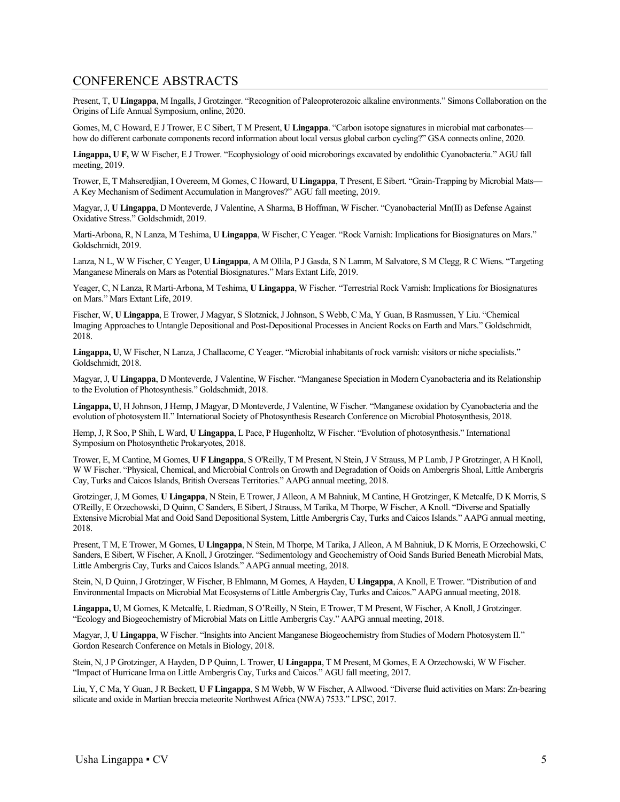#### CONFERENCE ABSTRACTS

Present, T, **U Lingappa**, M Ingalls, J Grotzinger. "Recognition of Paleoproterozoic alkaline environments." Simons Collaboration on the Origins of Life Annual Symposium, online, 2020.

Gomes, M, C Howard, E J Trower, E C Sibert, T M Present, **U Lingappa**. "Carbon isotope signatures in microbial mat carbonates how do different carbonate components record information about local versus global carbon cycling?" GSA connects online, 2020.

**Lingappa, U F,** W W Fischer, E J Trower. "Ecophysiology of ooid microborings excavated by endolithic Cyanobacteria." AGU fall meeting, 2019.

Trower, E, T Mahseredjian, I Overeem, M Gomes, C Howard, **U Lingappa**, T Present, E Sibert. "Grain-Trapping by Microbial Mats— A Key Mechanism of Sediment Accumulation in Mangroves?" AGU fall meeting, 2019.

Magyar, J, **U Lingappa**, D Monteverde, J Valentine, A Sharma, B Hoffman, W Fischer. "Cyanobacterial Mn(II) as Defense Against Oxidative Stress." Goldschmidt, 2019.

Marti-Arbona, R, N Lanza, M Teshima, **U Lingappa**, W Fischer, C Yeager. "Rock Varnish: Implications for Biosignatures on Mars." Goldschmidt, 2019.

Lanza, N L, W W Fischer, C Yeager, **U Lingappa**, A M Ollila, P J Gasda, S N Lamm, M Salvatore, S M Clegg, R C Wiens. "Targeting Manganese Minerals on Mars as Potential Biosignatures." Mars Extant Life, 2019.

Yeager, C, N Lanza, R Marti-Arbona, M Teshima, **U Lingappa**, W Fischer. "Terrestrial Rock Varnish: Implications for Biosignatures on Mars." Mars Extant Life, 2019.

Fischer, W, **U Lingappa**, E Trower, J Magyar, S Slotznick, J Johnson, S Webb, C Ma, Y Guan, B Rasmussen, Y Liu. "Chemical Imaging Approaches to Untangle Depositional and Post-Depositional Processes in Ancient Rocks on Earth and Mars." Goldschmidt, 2018.

**Lingappa, U**, W Fischer, N Lanza, J Challacome, C Yeager. "Microbial inhabitants of rock varnish: visitors or niche specialists." Goldschmidt, 2018.

Magyar, J, **U Lingappa**, D Monteverde, J Valentine, W Fischer. "Manganese Speciation in Modern Cyanobacteria and its Relationship to the Evolution of Photosynthesis." Goldschmidt, 2018.

**Lingappa, U**, H Johnson, J Hemp, J Magyar, D Monteverde, J Valentine, W Fischer. "Manganese oxidation by Cyanobacteria and the evolution of photosystem II." International Society of Photosynthesis Research Conference on Microbial Photosynthesis, 2018.

Hemp, J, R Soo, P Shih, L Ward, **U Lingappa**, L Pace, P Hugenholtz, W Fischer. "Evolution of photosynthesis." International Symposium on Photosynthetic Prokaryotes, 2018.

Trower, E, M Cantine, M Gomes, **U F Lingappa**, S O'Reilly, T M Present, N Stein, J V Strauss, M P Lamb, J P Grotzinger, A H Knoll, W W Fischer. "Physical, Chemical, and Microbial Controls on Growth and Degradation of Ooids on Ambergris Shoal, Little Ambergris Cay, Turks and Caicos Islands, British Overseas Territories." AAPG annual meeting, 2018.

Grotzinger, J, M Gomes, **U Lingappa**, N Stein, E Trower, J Alleon, A M Bahniuk, M Cantine, H Grotzinger, K Metcalfe, D K Morris, S O'Reilly, E Orzechowski, D Quinn, C Sanders, E Sibert, J Strauss, M Tarika, M Thorpe, W Fischer, A Knoll. "Diverse and Spatially Extensive Microbial Mat and Ooid Sand Depositional System, Little Ambergris Cay, Turks and Caicos Islands." AAPG annual meeting, 2018.

Present, T M, E Trower, M Gomes, **U Lingappa**, N Stein, M Thorpe, M Tarika, J Alleon, A M Bahniuk, D K Morris, E Orzechowski, C Sanders, E Sibert, W Fischer, A Knoll, J Grotzinger. "Sedimentology and Geochemistry of Ooid Sands Buried Beneath Microbial Mats, Little Ambergris Cay, Turks and Caicos Islands." AAPG annual meeting, 2018.

Stein, N, D Quinn, J Grotzinger, W Fischer, B Ehlmann, M Gomes, A Hayden, **U Lingappa**, A Knoll, E Trower. "Distribution of and Environmental Impacts on Microbial Mat Ecosystems of Little Ambergris Cay, Turks and Caicos." AAPG annual meeting, 2018.

**Lingappa, U**, M Gomes, K Metcalfe, L Riedman, S O'Reilly, N Stein, E Trower, T M Present, W Fischer, A Knoll, J Grotzinger. "Ecology and Biogeochemistry of Microbial Mats on Little Ambergris Cay." AAPG annual meeting, 2018.

Magyar, J, **U Lingappa**, W Fischer. "Insights into Ancient Manganese Biogeochemistry from Studies of Modern Photosystem II." Gordon Research Conference on Metals in Biology, 2018.

Stein, N, J P Grotzinger, A Hayden, D P Quinn, L Trower, **U Lingappa**, T M Present, M Gomes, E A Orzechowski, W W Fischer. "Impact of Hurricane Irma on Little Ambergris Cay, Turks and Caicos." AGU fall meeting, 2017.

Liu, Y, C Ma, Y Guan, J R Beckett, **U F Lingappa**, S M Webb, W W Fischer, A Allwood. "Diverse fluid activities on Mars: Zn-bearing silicate and oxide in Martian breccia meteorite Northwest Africa (NWA) 7533." LPSC, 2017.